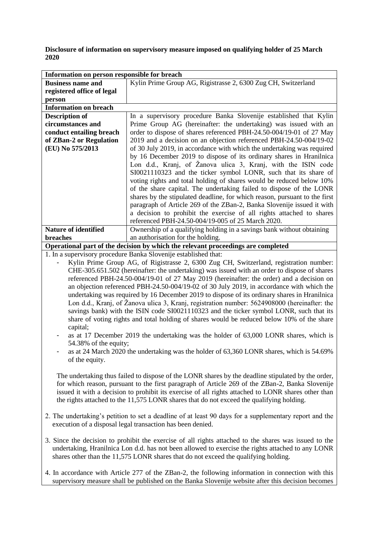**Disclosure of information on supervisory measure imposed on qualifying holder of 25 March 2020**

| Information on person responsible for breach                                     |                                                                            |
|----------------------------------------------------------------------------------|----------------------------------------------------------------------------|
| <b>Business name and</b>                                                         | Kylin Prime Group AG, Rigistrasse 2, 6300 Zug CH, Switzerland              |
| registered office of legal                                                       |                                                                            |
| person                                                                           |                                                                            |
| <b>Information on breach</b>                                                     |                                                                            |
| <b>Description of</b>                                                            | In a supervisory procedure Banka Slovenije established that Kylin          |
| circumstances and                                                                | Prime Group AG (hereinafter: the undertaking) was issued with an           |
| conduct entailing breach                                                         | order to dispose of shares referenced PBH-24.50-004/19-01 of 27 May        |
| of ZBan-2 or Regulation                                                          | 2019 and a decision on an objection referenced PBH-24.50-004/19-02         |
| (EU) No 575/2013                                                                 | of 30 July 2019, in accordance with which the undertaking was required     |
|                                                                                  | by 16 December 2019 to dispose of its ordinary shares in Hranilnica        |
|                                                                                  | Lon d.d., Kranj, of Žanova ulica 3, Kranj, with the ISIN code              |
|                                                                                  | SI0021110323 and the ticker symbol LONR, such that its share of            |
|                                                                                  | voting rights and total holding of shares would be reduced below 10%       |
|                                                                                  | of the share capital. The undertaking failed to dispose of the LONR        |
|                                                                                  | shares by the stipulated deadline, for which reason, pursuant to the first |
|                                                                                  | paragraph of Article 269 of the ZBan-2, Banka Slovenije issued it with     |
|                                                                                  | a decision to prohibit the exercise of all rights attached to shares       |
|                                                                                  | referenced PBH-24.50-004/19-005 of 25 March 2020.                          |
| <b>Nature of identified</b>                                                      | Ownership of a qualifying holding in a savings bank without obtaining      |
| <b>breaches</b>                                                                  | an authorisation for the holding.                                          |
| Operational part of the decision by which the relevant proceedings are completed |                                                                            |

1. In a supervisory procedure Banka Slovenije established that:

Kylin Prime Group AG, of Rigistrasse 2, 6300 Zug CH, Switzerland, registration number: CHE-305.651.502 (hereinafter: the undertaking) was issued with an order to dispose of shares referenced PBH-24.50-004/19-01 of 27 May 2019 (hereinafter: the order) and a decision on an objection referenced PBH-24.50-004/19-02 of 30 July 2019, in accordance with which the undertaking was required by 16 December 2019 to dispose of its ordinary shares in Hranilnica Lon d.d., Kranj, of Žanova ulica 3, Kranj, registration number: 5624908000 (hereinafter: the savings bank) with the ISIN code SI0021110323 and the ticker symbol LONR, such that its share of voting rights and total holding of shares would be reduced below 10% of the share capital;

as at 17 December 2019 the undertaking was the holder of 63,000 LONR shares, which is 54.38% of the equity;

as at 24 March 2020 the undertaking was the holder of 63,360 LONR shares, which is 54.69% of the equity.

The undertaking thus failed to dispose of the LONR shares by the deadline stipulated by the order, for which reason, pursuant to the first paragraph of Article 269 of the ZBan-2, Banka Slovenije issued it with a decision to prohibit its exercise of all rights attached to LONR shares other than the rights attached to the 11,575 LONR shares that do not exceed the qualifying holding.

- 2. The undertaking's petition to set a deadline of at least 90 days for a supplementary report and the execution of a disposal legal transaction has been denied.
- 3. Since the decision to prohibit the exercise of all rights attached to the shares was issued to the undertaking, Hranilnica Lon d.d. has not been allowed to exercise the rights attached to any LONR shares other than the 11,575 LONR shares that do not exceed the qualifying holding.
- 4. In accordance with Article 277 of the ZBan-2, the following information in connection with this supervisory measure shall be published on the Banka Slovenije website after this decision becomes